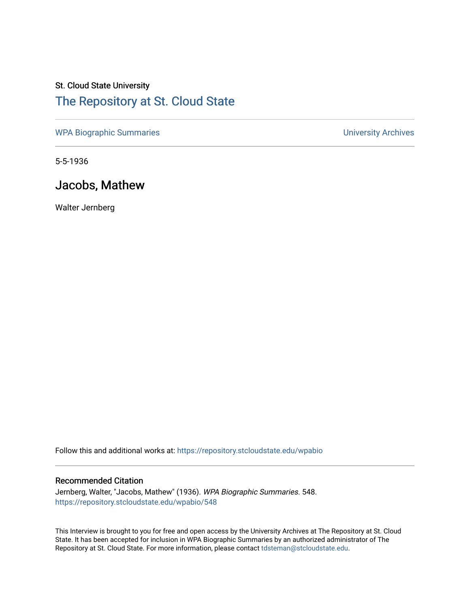## St. Cloud State University [The Repository at St. Cloud State](https://repository.stcloudstate.edu/)

[WPA Biographic Summaries](https://repository.stcloudstate.edu/wpabio) **WPA Biographic Summaries University Archives** 

5-5-1936

## Jacobs, Mathew

Walter Jernberg

Follow this and additional works at: [https://repository.stcloudstate.edu/wpabio](https://repository.stcloudstate.edu/wpabio?utm_source=repository.stcloudstate.edu%2Fwpabio%2F548&utm_medium=PDF&utm_campaign=PDFCoverPages) 

## Recommended Citation

Jernberg, Walter, "Jacobs, Mathew" (1936). WPA Biographic Summaries. 548. [https://repository.stcloudstate.edu/wpabio/548](https://repository.stcloudstate.edu/wpabio/548?utm_source=repository.stcloudstate.edu%2Fwpabio%2F548&utm_medium=PDF&utm_campaign=PDFCoverPages) 

This Interview is brought to you for free and open access by the University Archives at The Repository at St. Cloud State. It has been accepted for inclusion in WPA Biographic Summaries by an authorized administrator of The Repository at St. Cloud State. For more information, please contact [tdsteman@stcloudstate.edu.](mailto:tdsteman@stcloudstate.edu)